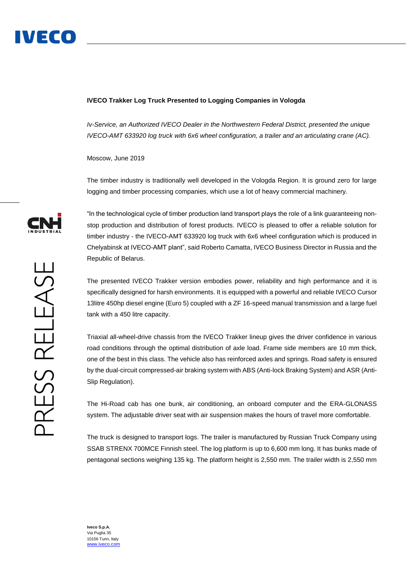

## **IVECO Trakker Log Truck Presented to Logging Companies in Vologda**

*Iv-Service, an Authorized IVECO Dealer in the Northwestern Federal District, presented the unique IVECO-AMT 633920 log truck with 6x6 wheel configuration, a trailer and an articulating crane (AC).*

Moscow, June 2019

The timber industry is traditionally well developed in the Vologda Region. It is ground zero for large logging and timber processing companies, which use a lot of heavy commercial machinery.



PRESS RELEASE

"In the technological cycle of timber production land transport plays the role of a link guaranteeing nonstop production and distribution of forest products. IVECO is pleased to offer a reliable solution for timber industry - the IVECO-AMT 633920 log truck with 6x6 wheel configuration which is produced in Chelyabinsk at IVECO-AMT plant", said Roberto Camatta, IVECO Business Director in Russia and the Republic of Belarus.

The presented IVECO Trakker version embodies power, reliability and high performance and it is specifically designed for harsh environments. It is equipped with a powerful and reliable IVECO Cursor 13litre 450hp diesel engine (Euro 5) coupled with a ZF 16-speed manual transmission and a large fuel tank with a 450 litre capacity.

Triaxial all-wheel-drive chassis from the IVECO Trakker lineup gives the driver confidence in various road conditions through the optimal distribution of axle load. Frame side members are 10 mm thick, one of the best in this class. The vehicle also has reinforced axles and springs. Road safety is ensured by the dual-circuit compressed-air braking system with ABS (Anti-lock Braking System) and ASR (Anti-Slip Regulation).

The Hi-Road cab has one bunk, air conditioning, an onboard computer and the ERA-GLONASS system. The adjustable driver seat with air suspension makes the hours of travel more comfortable.

The truck is designed to transport logs. The trailer is manufactured by Russian Truck Company using SSAB STRENX 700MCE Finnish steel. The log platform is up to 6,600 mm long. It has bunks made of pentagonal sections weighing 135 kg. The platform height is 2,550 mm. The trailer width is 2,550 mm